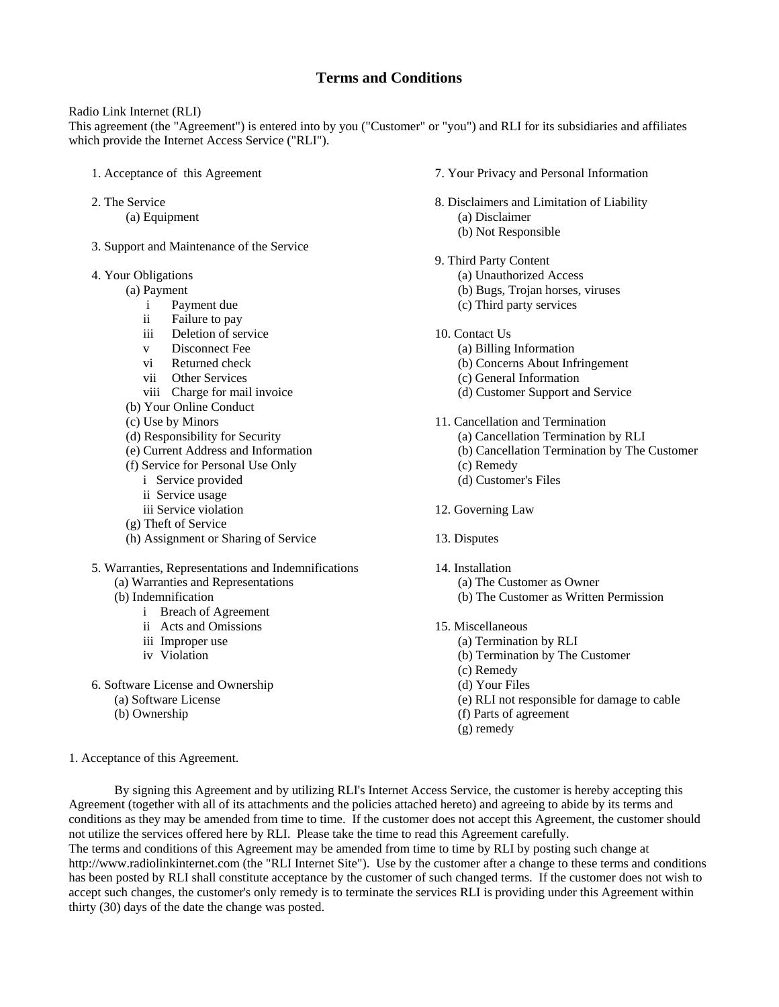# **Terms and Conditions**

Radio Link Internet (RLI)

This agreement (the "Agreement") is entered into by you ("Customer" or "you") and RLI for its subsidiaries and affiliates which provide the Internet Access Service ("RLI").

- 1. Acceptance of this Agreement
- 2. The Service (a) Equipment
- 3. Support and Maintenance of the Service
- 4. Your Obligations
	- (a) Payment
		- i Payment due
		- ii Failure to pay
		- iii Deletion of service
		- v Disconnect Fee
		- vi Returned check
		- vii Other Services
		- viii Charge for mail invoice
	- (b) Your Online Conduct
	- (c) Use by Minors
	- (d) Responsibility for Security
	- (e) Current Address and Information
	- (f) Service for Personal Use Only
		- i Service provided
		- ii Service usage
		- iii Service violation
	- (g) Theft of Service
	- (h) Assignment or Sharing of Service
- 5. Warranties, Representations and Indemnifications (a) Warranties and Representations
	- (b) Indemnification
		- i Breach of Agreement
		- ii Acts and Omissions
		- iii Improper use
		- iv Violation
- 6. Software License and Ownership
	- (a) Software License
	- (b) Ownership
- 7. Your Privacy and Personal Information
- 8. Disclaimers and Limitation of Liability (a) Disclaimer (b) Not Responsible
- 9. Third Party Content
	- (a) Unauthorized Access (b) Bugs, Trojan horses, viruses
	- (c) Third party services
- 10. Contact Us
	- (a) Billing Information
		- (b) Concerns About Infringement
		- (c) General Information
		- (d) Customer Support and Service
- 11. Cancellation and Termination
	- (a) Cancellation Termination by RLI
	- (b) Cancellation Termination by The Customer
	- (c) Remedy
	- (d) Customer's Files
- 12. Governing Law
- 13. Disputes
- 14. Installation (a) The Customer as Owner (b) The Customer as Written Permission
- 15. Miscellaneous
	- (a) Termination by RLI
	- (b) Termination by The Customer
	- (c) Remedy
	- (d) Your Files
	- (e) RLI not responsible for damage to cable
	- (f) Parts of agreement
	- (g) remedy

1. Acceptance of this Agreement.

 By signing this Agreement and by utilizing RLI's Internet Access Service, the customer is hereby accepting this Agreement (together with all of its attachments and the policies attached hereto) and agreeing to abide by its terms and conditions as they may be amended from time to time. If the customer does not accept this Agreement, the customer should not utilize the services offered here by RLI. Please take the time to read this Agreement carefully. The terms and conditions of this Agreement may be amended from time to time by RLI by posting such change at

http://www.radiolinkinternet.com (the "RLI Internet Site"). Use by the customer after a change to these terms and conditions has been posted by RLI shall constitute acceptance by the customer of such changed terms. If the customer does not wish to accept such changes, the customer's only remedy is to terminate the services RLI is providing under this Agreement within thirty (30) days of the date the change was posted.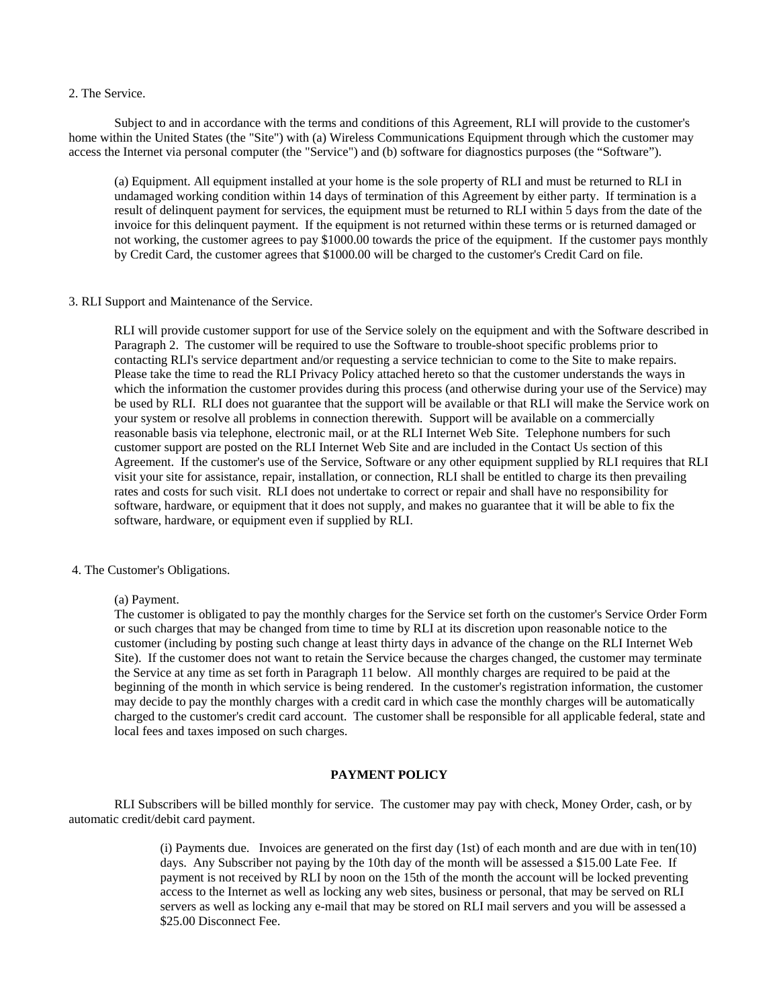### 2. The Service.

 Subject to and in accordance with the terms and conditions of this Agreement, RLI will provide to the customer's home within the United States (the "Site") with (a) Wireless Communications Equipment through which the customer may access the Internet via personal computer (the "Service") and (b) software for diagnostics purposes (the "Software").

(a) Equipment. All equipment installed at your home is the sole property of RLI and must be returned to RLI in undamaged working condition within 14 days of termination of this Agreement by either party. If termination is a result of delinquent payment for services, the equipment must be returned to RLI within 5 days from the date of the invoice for this delinquent payment. If the equipment is not returned within these terms or is returned damaged or not working, the customer agrees to pay \$1000.00 towards the price of the equipment. If the customer pays monthly by Credit Card, the customer agrees that \$1000.00 will be charged to the customer's Credit Card on file.

# 3. RLI Support and Maintenance of the Service.

RLI will provide customer support for use of the Service solely on the equipment and with the Software described in Paragraph 2. The customer will be required to use the Software to trouble-shoot specific problems prior to contacting RLI's service department and/or requesting a service technician to come to the Site to make repairs. Please take the time to read the RLI Privacy Policy attached hereto so that the customer understands the ways in which the information the customer provides during this process (and otherwise during your use of the Service) may be used by RLI. RLI does not guarantee that the support will be available or that RLI will make the Service work on your system or resolve all problems in connection therewith. Support will be available on a commercially reasonable basis via telephone, electronic mail, or at the RLI Internet Web Site. Telephone numbers for such customer support are posted on the RLI Internet Web Site and are included in the Contact Us section of this Agreement. If the customer's use of the Service, Software or any other equipment supplied by RLI requires that RLI visit your site for assistance, repair, installation, or connection, RLI shall be entitled to charge its then prevailing rates and costs for such visit. RLI does not undertake to correct or repair and shall have no responsibility for software, hardware, or equipment that it does not supply, and makes no guarantee that it will be able to fix the software, hardware, or equipment even if supplied by RLI.

#### 4. The Customer's Obligations.

#### (a) Payment.

The customer is obligated to pay the monthly charges for the Service set forth on the customer's Service Order Form or such charges that may be changed from time to time by RLI at its discretion upon reasonable notice to the customer (including by posting such change at least thirty days in advance of the change on the RLI Internet Web Site). If the customer does not want to retain the Service because the charges changed, the customer may terminate the Service at any time as set forth in Paragraph 11 below. All monthly charges are required to be paid at the beginning of the month in which service is being rendered. In the customer's registration information, the customer may decide to pay the monthly charges with a credit card in which case the monthly charges will be automatically charged to the customer's credit card account. The customer shall be responsible for all applicable federal, state and local fees and taxes imposed on such charges.

# **PAYMENT POLICY**

 RLI Subscribers will be billed monthly for service. The customer may pay with check, Money Order, cash, or by automatic credit/debit card payment.

> (i) Payments due. Invoices are generated on the first day (1st) of each month and are due with in ten(10) days. Any Subscriber not paying by the 10th day of the month will be assessed a \$15.00 Late Fee. If payment is not received by RLI by noon on the 15th of the month the account will be locked preventing access to the Internet as well as locking any web sites, business or personal, that may be served on RLI servers as well as locking any e-mail that may be stored on RLI mail servers and you will be assessed a \$25.00 Disconnect Fee.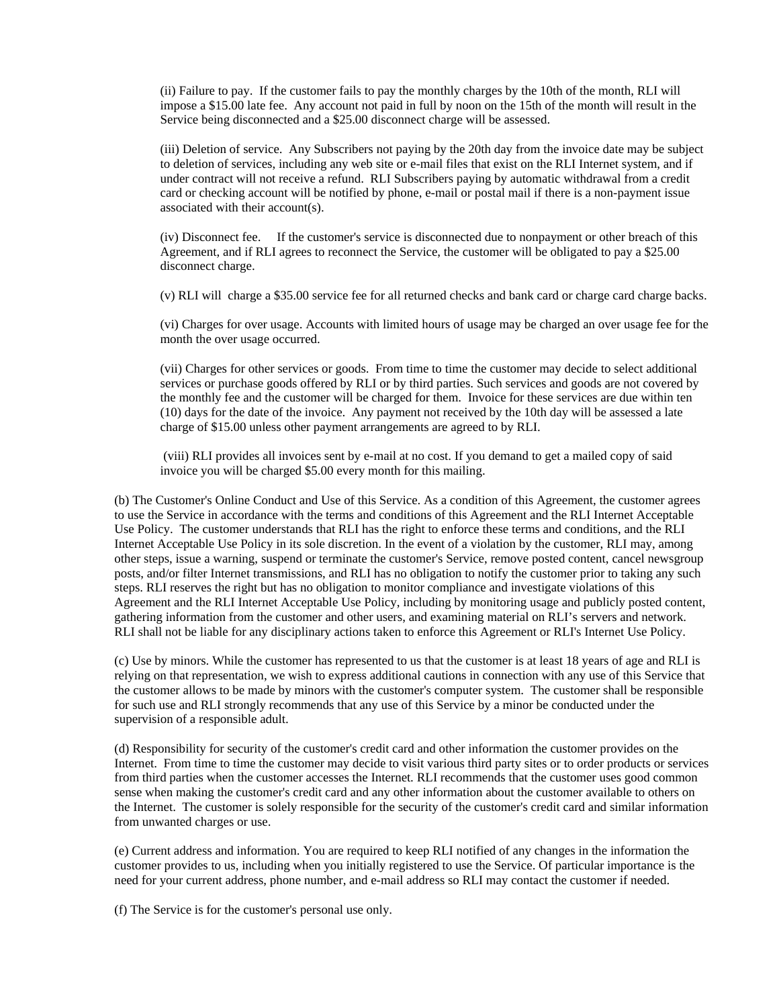(ii) Failure to pay. If the customer fails to pay the monthly charges by the 10th of the month, RLI will impose a \$15.00 late fee. Any account not paid in full by noon on the 15th of the month will result in the Service being disconnected and a \$25.00 disconnect charge will be assessed.

(iii) Deletion of service. Any Subscribers not paying by the 20th day from the invoice date may be subject to deletion of services, including any web site or e-mail files that exist on the RLI Internet system, and if under contract will not receive a refund. RLI Subscribers paying by automatic withdrawal from a credit card or checking account will be notified by phone, e-mail or postal mail if there is a non-payment issue associated with their account(s).

(iv) Disconnect fee. If the customer's service is disconnected due to nonpayment or other breach of this Agreement, and if RLI agrees to reconnect the Service, the customer will be obligated to pay a \$25.00 disconnect charge.

(v) RLI will charge a \$35.00 service fee for all returned checks and bank card or charge card charge backs.

(vi) Charges for over usage. Accounts with limited hours of usage may be charged an over usage fee for the month the over usage occurred.

(vii) Charges for other services or goods. From time to time the customer may decide to select additional services or purchase goods offered by RLI or by third parties. Such services and goods are not covered by the monthly fee and the customer will be charged for them. Invoice for these services are due within ten (10) days for the date of the invoice. Any payment not received by the 10th day will be assessed a late charge of \$15.00 unless other payment arrangements are agreed to by RLI.

 (viii) RLI provides all invoices sent by e-mail at no cost. If you demand to get a mailed copy of said invoice you will be charged \$5.00 every month for this mailing.

(b) The Customer's Online Conduct and Use of this Service. As a condition of this Agreement, the customer agrees to use the Service in accordance with the terms and conditions of this Agreement and the RLI Internet Acceptable Use Policy. The customer understands that RLI has the right to enforce these terms and conditions, and the RLI Internet Acceptable Use Policy in its sole discretion. In the event of a violation by the customer, RLI may, among other steps, issue a warning, suspend or terminate the customer's Service, remove posted content, cancel newsgroup posts, and/or filter Internet transmissions, and RLI has no obligation to notify the customer prior to taking any such steps. RLI reserves the right but has no obligation to monitor compliance and investigate violations of this Agreement and the RLI Internet Acceptable Use Policy, including by monitoring usage and publicly posted content, gathering information from the customer and other users, and examining material on RLI's servers and network. RLI shall not be liable for any disciplinary actions taken to enforce this Agreement or RLI's Internet Use Policy.

(c) Use by minors. While the customer has represented to us that the customer is at least 18 years of age and RLI is relying on that representation, we wish to express additional cautions in connection with any use of this Service that the customer allows to be made by minors with the customer's computer system. The customer shall be responsible for such use and RLI strongly recommends that any use of this Service by a minor be conducted under the supervision of a responsible adult.

(d) Responsibility for security of the customer's credit card and other information the customer provides on the Internet. From time to time the customer may decide to visit various third party sites or to order products or services from third parties when the customer accesses the Internet. RLI recommends that the customer uses good common sense when making the customer's credit card and any other information about the customer available to others on the Internet. The customer is solely responsible for the security of the customer's credit card and similar information from unwanted charges or use.

(e) Current address and information. You are required to keep RLI notified of any changes in the information the customer provides to us, including when you initially registered to use the Service. Of particular importance is the need for your current address, phone number, and e-mail address so RLI may contact the customer if needed.

(f) The Service is for the customer's personal use only.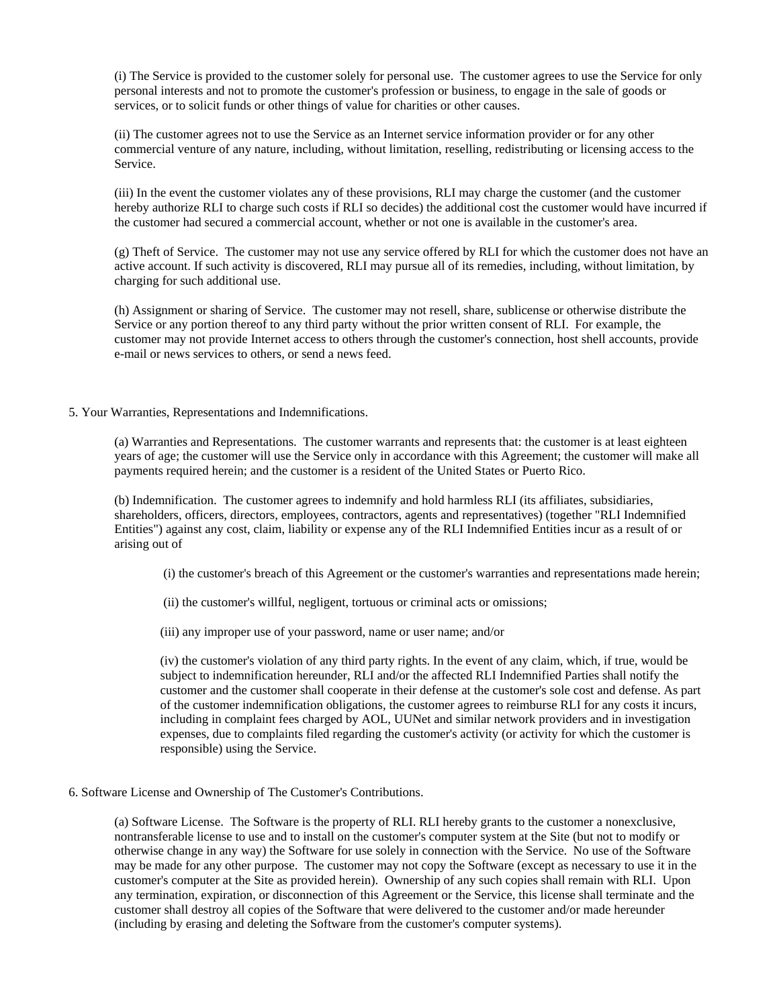(i) The Service is provided to the customer solely for personal use. The customer agrees to use the Service for only personal interests and not to promote the customer's profession or business, to engage in the sale of goods or services, or to solicit funds or other things of value for charities or other causes.

(ii) The customer agrees not to use the Service as an Internet service information provider or for any other commercial venture of any nature, including, without limitation, reselling, redistributing or licensing access to the Service.

(iii) In the event the customer violates any of these provisions, RLI may charge the customer (and the customer hereby authorize RLI to charge such costs if RLI so decides) the additional cost the customer would have incurred if the customer had secured a commercial account, whether or not one is available in the customer's area.

(g) Theft of Service. The customer may not use any service offered by RLI for which the customer does not have an active account. If such activity is discovered, RLI may pursue all of its remedies, including, without limitation, by charging for such additional use.

(h) Assignment or sharing of Service. The customer may not resell, share, sublicense or otherwise distribute the Service or any portion thereof to any third party without the prior written consent of RLI. For example, the customer may not provide Internet access to others through the customer's connection, host shell accounts, provide e-mail or news services to others, or send a news feed.

### 5. Your Warranties, Representations and Indemnifications.

(a) Warranties and Representations. The customer warrants and represents that: the customer is at least eighteen years of age; the customer will use the Service only in accordance with this Agreement; the customer will make all payments required herein; and the customer is a resident of the United States or Puerto Rico.

(b) Indemnification. The customer agrees to indemnify and hold harmless RLI (its affiliates, subsidiaries, shareholders, officers, directors, employees, contractors, agents and representatives) (together "RLI Indemnified Entities") against any cost, claim, liability or expense any of the RLI Indemnified Entities incur as a result of or arising out of

(i) the customer's breach of this Agreement or the customer's warranties and representations made herein;

- (ii) the customer's willful, negligent, tortuous or criminal acts or omissions;
- (iii) any improper use of your password, name or user name; and/or

(iv) the customer's violation of any third party rights. In the event of any claim, which, if true, would be subject to indemnification hereunder, RLI and/or the affected RLI Indemnified Parties shall notify the customer and the customer shall cooperate in their defense at the customer's sole cost and defense. As part of the customer indemnification obligations, the customer agrees to reimburse RLI for any costs it incurs, including in complaint fees charged by AOL, UUNet and similar network providers and in investigation expenses, due to complaints filed regarding the customer's activity (or activity for which the customer is responsible) using the Service.

6. Software License and Ownership of The Customer's Contributions.

(a) Software License. The Software is the property of RLI. RLI hereby grants to the customer a nonexclusive, nontransferable license to use and to install on the customer's computer system at the Site (but not to modify or otherwise change in any way) the Software for use solely in connection with the Service. No use of the Software may be made for any other purpose. The customer may not copy the Software (except as necessary to use it in the customer's computer at the Site as provided herein). Ownership of any such copies shall remain with RLI. Upon any termination, expiration, or disconnection of this Agreement or the Service, this license shall terminate and the customer shall destroy all copies of the Software that were delivered to the customer and/or made hereunder (including by erasing and deleting the Software from the customer's computer systems).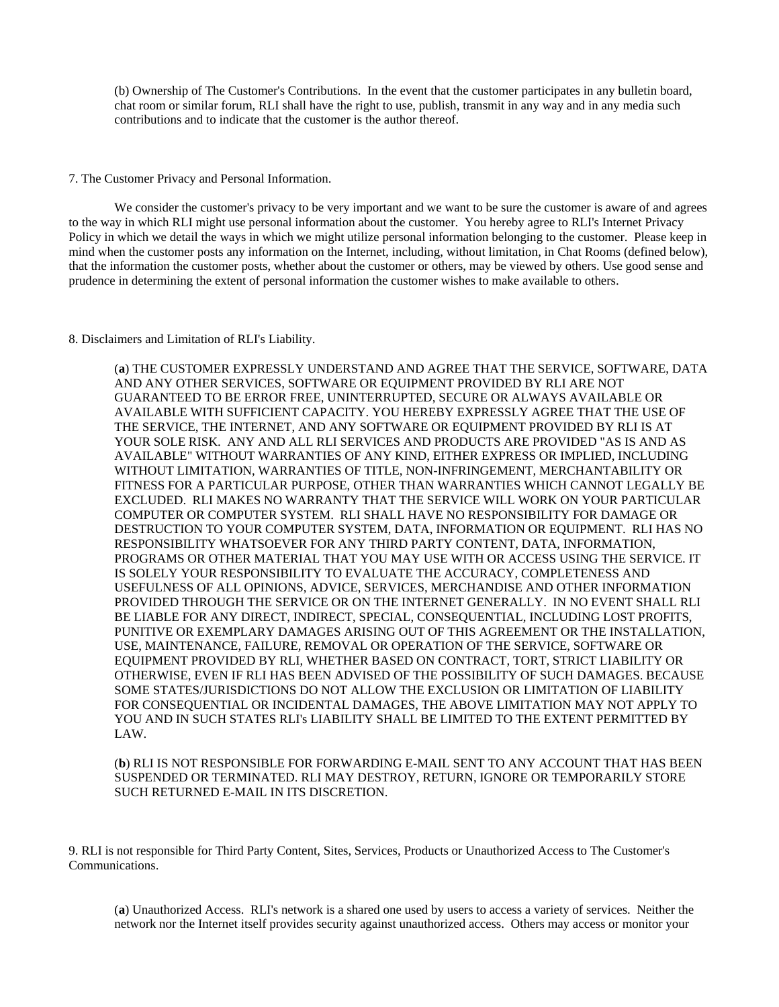(b) Ownership of The Customer's Contributions. In the event that the customer participates in any bulletin board, chat room or similar forum, RLI shall have the right to use, publish, transmit in any way and in any media such contributions and to indicate that the customer is the author thereof.

# 7. The Customer Privacy and Personal Information.

We consider the customer's privacy to be very important and we want to be sure the customer is aware of and agrees to the way in which RLI might use personal information about the customer. You hereby agree to RLI's Internet Privacy Policy in which we detail the ways in which we might utilize personal information belonging to the customer. Please keep in mind when the customer posts any information on the Internet, including, without limitation, in Chat Rooms (defined below), that the information the customer posts, whether about the customer or others, may be viewed by others. Use good sense and prudence in determining the extent of personal information the customer wishes to make available to others.

### 8. Disclaimers and Limitation of RLI's Liability.

(**a**) THE CUSTOMER EXPRESSLY UNDERSTAND AND AGREE THAT THE SERVICE, SOFTWARE, DATA AND ANY OTHER SERVICES, SOFTWARE OR EQUIPMENT PROVIDED BY RLI ARE NOT GUARANTEED TO BE ERROR FREE, UNINTERRUPTED, SECURE OR ALWAYS AVAILABLE OR AVAILABLE WITH SUFFICIENT CAPACITY. YOU HEREBY EXPRESSLY AGREE THAT THE USE OF THE SERVICE, THE INTERNET, AND ANY SOFTWARE OR EQUIPMENT PROVIDED BY RLI IS AT YOUR SOLE RISK. ANY AND ALL RLI SERVICES AND PRODUCTS ARE PROVIDED "AS IS AND AS AVAILABLE" WITHOUT WARRANTIES OF ANY KIND, EITHER EXPRESS OR IMPLIED, INCLUDING WITHOUT LIMITATION, WARRANTIES OF TITLE, NON-INFRINGEMENT, MERCHANTABILITY OR FITNESS FOR A PARTICULAR PURPOSE, OTHER THAN WARRANTIES WHICH CANNOT LEGALLY BE EXCLUDED. RLI MAKES NO WARRANTY THAT THE SERVICE WILL WORK ON YOUR PARTICULAR COMPUTER OR COMPUTER SYSTEM. RLI SHALL HAVE NO RESPONSIBILITY FOR DAMAGE OR DESTRUCTION TO YOUR COMPUTER SYSTEM, DATA, INFORMATION OR EQUIPMENT. RLI HAS NO RESPONSIBILITY WHATSOEVER FOR ANY THIRD PARTY CONTENT, DATA, INFORMATION, PROGRAMS OR OTHER MATERIAL THAT YOU MAY USE WITH OR ACCESS USING THE SERVICE. IT IS SOLELY YOUR RESPONSIBILITY TO EVALUATE THE ACCURACY, COMPLETENESS AND USEFULNESS OF ALL OPINIONS, ADVICE, SERVICES, MERCHANDISE AND OTHER INFORMATION PROVIDED THROUGH THE SERVICE OR ON THE INTERNET GENERALLY. IN NO EVENT SHALL RLI BE LIABLE FOR ANY DIRECT, INDIRECT, SPECIAL, CONSEQUENTIAL, INCLUDING LOST PROFITS, PUNITIVE OR EXEMPLARY DAMAGES ARISING OUT OF THIS AGREEMENT OR THE INSTALLATION, USE, MAINTENANCE, FAILURE, REMOVAL OR OPERATION OF THE SERVICE, SOFTWARE OR EQUIPMENT PROVIDED BY RLI, WHETHER BASED ON CONTRACT, TORT, STRICT LIABILITY OR OTHERWISE, EVEN IF RLI HAS BEEN ADVISED OF THE POSSIBILITY OF SUCH DAMAGES. BECAUSE SOME STATES/JURISDICTIONS DO NOT ALLOW THE EXCLUSION OR LIMITATION OF LIABILITY FOR CONSEQUENTIAL OR INCIDENTAL DAMAGES, THE ABOVE LIMITATION MAY NOT APPLY TO YOU AND IN SUCH STATES RLI's LIABILITY SHALL BE LIMITED TO THE EXTENT PERMITTED BY LAW.

(**b**) RLI IS NOT RESPONSIBLE FOR FORWARDING E-MAIL SENT TO ANY ACCOUNT THAT HAS BEEN SUSPENDED OR TERMINATED. RLI MAY DESTROY, RETURN, IGNORE OR TEMPORARILY STORE SUCH RETURNED E-MAIL IN ITS DISCRETION.

9. RLI is not responsible for Third Party Content, Sites, Services, Products or Unauthorized Access to The Customer's Communications.

(**a**) Unauthorized Access. RLI's network is a shared one used by users to access a variety of services. Neither the network nor the Internet itself provides security against unauthorized access. Others may access or monitor your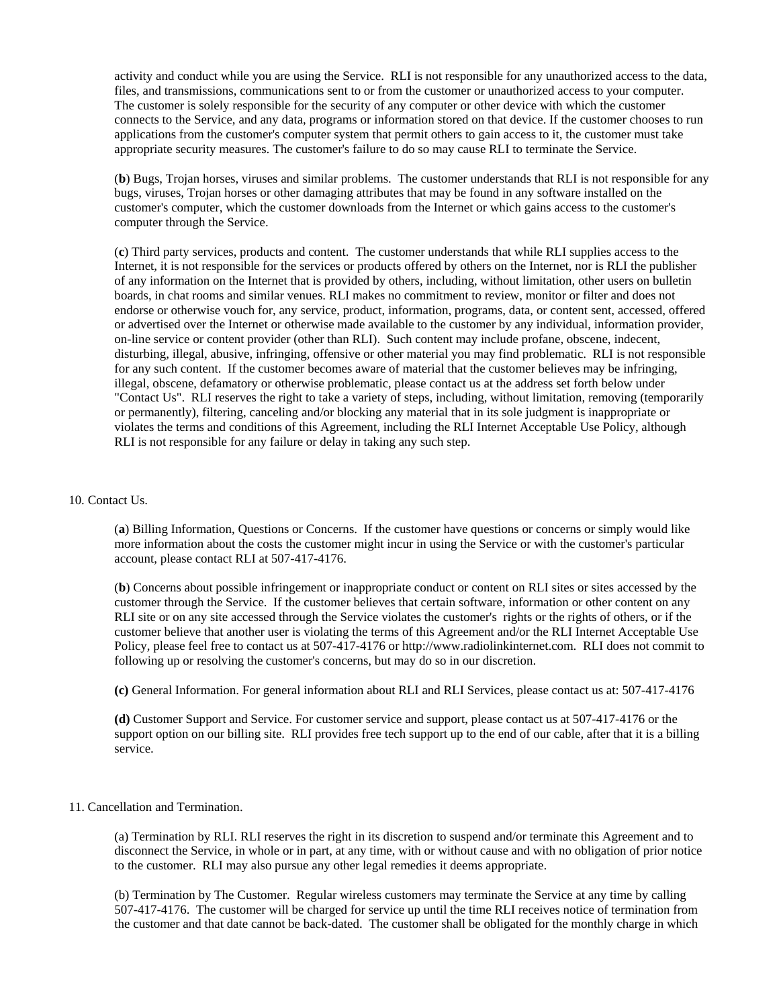activity and conduct while you are using the Service. RLI is not responsible for any unauthorized access to the data, files, and transmissions, communications sent to or from the customer or unauthorized access to your computer. The customer is solely responsible for the security of any computer or other device with which the customer connects to the Service, and any data, programs or information stored on that device. If the customer chooses to run applications from the customer's computer system that permit others to gain access to it, the customer must take appropriate security measures. The customer's failure to do so may cause RLI to terminate the Service.

(**b**) Bugs, Trojan horses, viruses and similar problems. The customer understands that RLI is not responsible for any bugs, viruses, Trojan horses or other damaging attributes that may be found in any software installed on the customer's computer, which the customer downloads from the Internet or which gains access to the customer's computer through the Service.

(**c**) Third party services, products and content. The customer understands that while RLI supplies access to the Internet, it is not responsible for the services or products offered by others on the Internet, nor is RLI the publisher of any information on the Internet that is provided by others, including, without limitation, other users on bulletin boards, in chat rooms and similar venues. RLI makes no commitment to review, monitor or filter and does not endorse or otherwise vouch for, any service, product, information, programs, data, or content sent, accessed, offered or advertised over the Internet or otherwise made available to the customer by any individual, information provider, on-line service or content provider (other than RLI). Such content may include profane, obscene, indecent, disturbing, illegal, abusive, infringing, offensive or other material you may find problematic. RLI is not responsible for any such content. If the customer becomes aware of material that the customer believes may be infringing, illegal, obscene, defamatory or otherwise problematic, please contact us at the address set forth below under "Contact Us". RLI reserves the right to take a variety of steps, including, without limitation, removing (temporarily or permanently), filtering, canceling and/or blocking any material that in its sole judgment is inappropriate or violates the terms and conditions of this Agreement, including the RLI Internet Acceptable Use Policy, although RLI is not responsible for any failure or delay in taking any such step.

#### 10. Contact Us.

(**a**) Billing Information, Questions or Concerns. If the customer have questions or concerns or simply would like more information about the costs the customer might incur in using the Service or with the customer's particular account, please contact RLI at 507-417-4176.

(**b**) Concerns about possible infringement or inappropriate conduct or content on RLI sites or sites accessed by the customer through the Service. If the customer believes that certain software, information or other content on any RLI site or on any site accessed through the Service violates the customer's rights or the rights of others, or if the customer believe that another user is violating the terms of this Agreement and/or the RLI Internet Acceptable Use Policy, please feel free to contact us at 507-417-4176 or http://www.radiolinkinternet.com. RLI does not commit to following up or resolving the customer's concerns, but may do so in our discretion.

**(c)** General Information. For general information about RLI and RLI Services, please contact us at: 507-417-4176

**(d)** Customer Support and Service. For customer service and support, please contact us at 507-417-4176 or the support option on our billing site. RLI provides free tech support up to the end of our cable, after that it is a billing service.

# 11. Cancellation and Termination.

(a) Termination by RLI. RLI reserves the right in its discretion to suspend and/or terminate this Agreement and to disconnect the Service, in whole or in part, at any time, with or without cause and with no obligation of prior notice to the customer. RLI may also pursue any other legal remedies it deems appropriate.

(b) Termination by The Customer. Regular wireless customers may terminate the Service at any time by calling 507-417-4176. The customer will be charged for service up until the time RLI receives notice of termination from the customer and that date cannot be back-dated. The customer shall be obligated for the monthly charge in which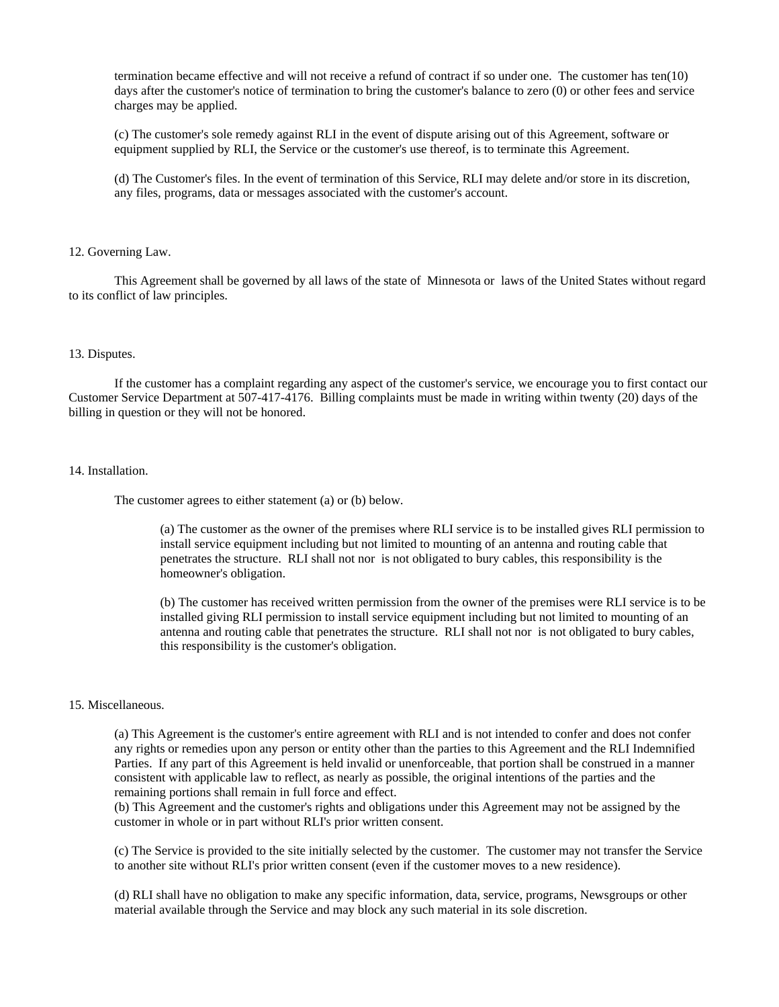termination became effective and will not receive a refund of contract if so under one. The customer has ten(10) days after the customer's notice of termination to bring the customer's balance to zero (0) or other fees and service charges may be applied.

(c) The customer's sole remedy against RLI in the event of dispute arising out of this Agreement, software or equipment supplied by RLI, the Service or the customer's use thereof, is to terminate this Agreement.

(d) The Customer's files. In the event of termination of this Service, RLI may delete and/or store in its discretion, any files, programs, data or messages associated with the customer's account.

### 12. Governing Law.

 This Agreement shall be governed by all laws of the state of Minnesota or laws of the United States without regard to its conflict of law principles.

### 13. Disputes.

 If the customer has a complaint regarding any aspect of the customer's service, we encourage you to first contact our Customer Service Department at 507-417-4176. Billing complaints must be made in writing within twenty (20) days of the billing in question or they will not be honored.

### 14. Installation.

The customer agrees to either statement (a) or (b) below.

(a) The customer as the owner of the premises where RLI service is to be installed gives RLI permission to install service equipment including but not limited to mounting of an antenna and routing cable that penetrates the structure. RLI shall not nor is not obligated to bury cables, this responsibility is the homeowner's obligation.

(b) The customer has received written permission from the owner of the premises were RLI service is to be installed giving RLI permission to install service equipment including but not limited to mounting of an antenna and routing cable that penetrates the structure. RLI shall not nor is not obligated to bury cables, this responsibility is the customer's obligation.

# 15. Miscellaneous.

(a) This Agreement is the customer's entire agreement with RLI and is not intended to confer and does not confer any rights or remedies upon any person or entity other than the parties to this Agreement and the RLI Indemnified Parties. If any part of this Agreement is held invalid or unenforceable, that portion shall be construed in a manner consistent with applicable law to reflect, as nearly as possible, the original intentions of the parties and the remaining portions shall remain in full force and effect.

(b) This Agreement and the customer's rights and obligations under this Agreement may not be assigned by the customer in whole or in part without RLI's prior written consent.

(c) The Service is provided to the site initially selected by the customer. The customer may not transfer the Service to another site without RLI's prior written consent (even if the customer moves to a new residence).

(d) RLI shall have no obligation to make any specific information, data, service, programs, Newsgroups or other material available through the Service and may block any such material in its sole discretion.